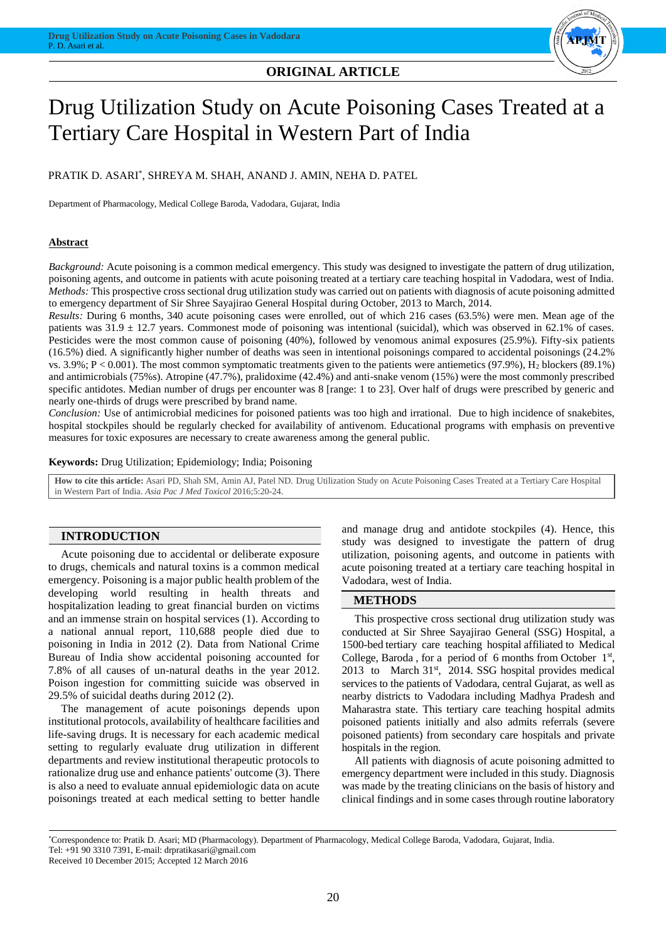## **ORIGINAL ARTICLE**



# Drug Utilization Study on Acute Poisoning Cases Treated at a Tertiary Care Hospital in Western Part of India

PRATIK D. ASARI\* , SHREYA M. SHAH, ANAND J. AMIN, NEHA D. PATEL

Department of Pharmacology, Medical College Baroda, Vadodara, Gujarat, India

## **Abstract**

*Background:* Acute poisoning is a common medical emergency. This study was designed to investigate the pattern of drug utilization, poisoning agents, and outcome in patients with acute poisoning treated at a tertiary care teaching hospital in Vadodara, west of India. *Methods:* This prospective cross sectional drug utilization study was carried out on patients with diagnosis of acute poisoning admitted to emergency department of Sir Shree Sayajirao General Hospital during October, 2013 to March, 2014.

*Results:* During 6 months, 340 acute poisoning cases were enrolled, out of which 216 cases (63.5%) were men. Mean age of the patients was  $31.9 \pm 12.7$  years. Commonest mode of poisoning was intentional (suicidal), which was observed in 62.1% of cases. Pesticides were the most common cause of poisoning (40%), followed by venomous animal exposures (25.9%). Fifty-six patients (16.5%) died. A significantly higher number of deaths was seen in intentional poisonings compared to accidental poisonings (24.2% vs.  $3.9\%$ ; P < 0.001). The most common symptomatic treatments given to the patients were antiemetics (97.9%), H<sub>2</sub> blockers (89.1%) and antimicrobials (75%s). Atropine (47.7%), pralidoxime (42.4%) and anti-snake venom (15%) were the most commonly prescribed specific antidotes. Median number of drugs per encounter was 8 [range: 1 to 23]. Over half of drugs were prescribed by generic and nearly one-thirds of drugs were prescribed by brand name.

*Conclusion:* Use of antimicrobial medicines for poisoned patients was too high and irrational. Due to high incidence of snakebites, hospital stockpiles should be regularly checked for availability of antivenom. Educational programs with emphasis on preventive measures for toxic exposures are necessary to create awareness among the general public.

**Keywords:** Drug Utilization; Epidemiology; India; Poisoning

**How to cite this article:** Asari PD, Shah SM, Amin AJ, Patel ND. Drug Utilization Study on Acute Poisoning Cases Treated at a Tertiary Care Hospital in Western Part of India. *Asia Pac J Med Toxicol* 2016;5:20-24.

## **INTRODUCTION**

Acute poisoning due to accidental or deliberate exposure to drugs, chemicals and natural toxins is a common medical emergency. Poisoning is a major public health problem of the developing world resulting in health threats and hospitalization leading to great financial burden on victims and an immense strain on hospital services (1). According to a national annual report, 110,688 people died due to poisoning in India in 2012 (2). Data from National Crime Bureau of India show accidental poisoning accounted for 7.8% of all causes of un-natural deaths in the year 2012. Poison ingestion for committing suicide was observed in 29.5% of suicidal deaths during 2012 (2).

The management of acute poisonings depends upon institutional protocols, availability of healthcare facilities and life-saving drugs. It is necessary for each academic medical setting to regularly evaluate drug utilization in different departments and review institutional therapeutic protocols to rationalize drug use and enhance patients' outcome (3). There is also a need to evaluate annual epidemiologic data on acute poisonings treated at each medical setting to better handle and manage drug and antidote stockpiles (4). Hence, this study was designed to investigate the pattern of drug utilization, poisoning agents, and outcome in patients with acute poisoning treated at a tertiary care teaching hospital in Vadodara, west of India.

#### **METHODS**

This prospective cross sectional drug utilization study was conducted at Sir Shree Sayajirao General (SSG) Hospital, a 1500-bed tertiary care teaching hospital affiliated to Medical College, Baroda, for a period of 6 months from October  $1<sup>st</sup>$ , 2013 to March  $31<sup>st</sup>$ , 2014. SSG hospital provides medical services to the patients of Vadodara, central Gujarat, as well as nearby districts to Vadodara including Madhya Pradesh and Maharastra state. This tertiary care teaching hospital admits poisoned patients initially and also admits referrals (severe poisoned patients) from secondary care hospitals and private hospitals in the region.

All patients with diagnosis of acute poisoning admitted to emergency department were included in this study. Diagnosis was made by the treating clinicians on the basis of history and clinical findings and in some cases through routine laboratory

\*Correspondence to: Pratik D. Asari; MD (Pharmacology). Department of Pharmacology, Medical College Baroda, Vadodara, Gujarat, India. Tel: +91 90 3310 7391, E-mail: drpratikasari@gmail.com

Received 10 December 2015; Accepted 12 March 2016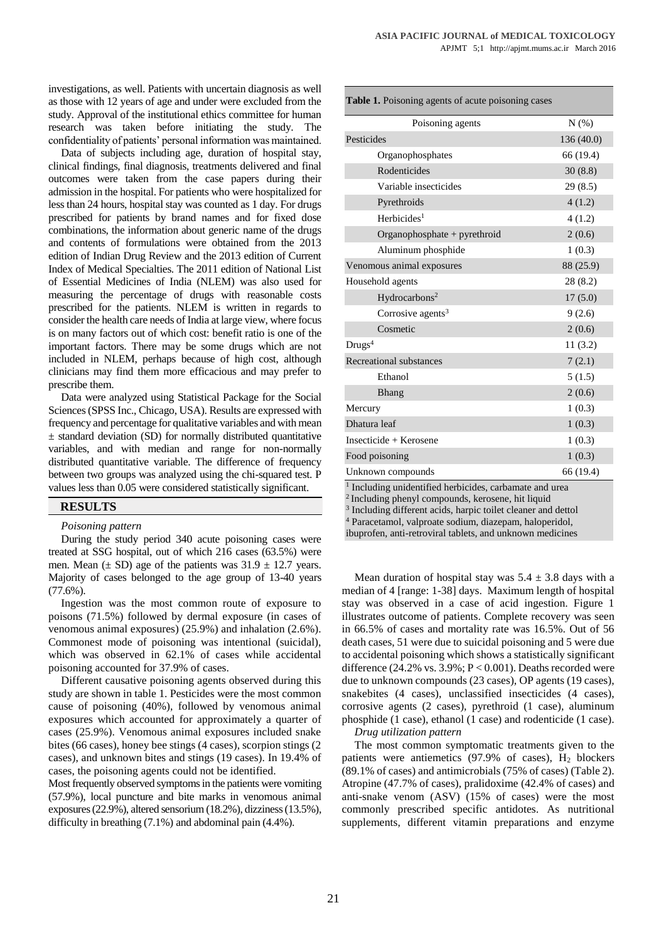investigations, as well. Patients with uncertain diagnosis as well as those with 12 years of age and under were excluded from the study. Approval of the institutional ethics committee for human research was taken before initiating the study. The confidentiality of patients' personal information was maintained.

Data of subjects including age, duration of hospital stay, clinical findings, final diagnosis, treatments delivered and final outcomes were taken from the case papers during their admission in the hospital. For patients who were hospitalized for less than 24 hours, hospital stay was counted as 1 day. For drugs prescribed for patients by brand names and for fixed dose combinations, the information about generic name of the drugs and contents of formulations were obtained from the 2013 edition of Indian Drug Review and the 2013 edition of Current Index of Medical Specialties. The 2011 edition of National List of Essential Medicines of India (NLEM) was also used for measuring the percentage of drugs with reasonable costs prescribed for the patients. NLEM is written in regards to consider the health care needs of India at large view, where focus is on many factors out of which cost: benefit ratio is one of the important factors. There may be some drugs which are not included in NLEM, perhaps because of high cost, although clinicians may find them more efficacious and may prefer to prescribe them.

Data were analyzed using Statistical Package for the Social Sciences (SPSS Inc., Chicago, USA). Results are expressed with frequency and percentage for qualitative variables and with mean  $\pm$  standard deviation (SD) for normally distributed quantitative variables, and with median and range for non-normally distributed quantitative variable. The difference of frequency between two groups was analyzed using the chi-squared test. P values less than 0.05 were considered statistically significant.

## **RESULTS**

#### *Poisoning pattern*

During the study period 340 acute poisoning cases were treated at SSG hospital, out of which 216 cases (63.5%) were men. Mean  $(\pm S_D)$  age of the patients was  $31.9 \pm 12.7$  years. Majority of cases belonged to the age group of 13-40 years (77.6%).

Ingestion was the most common route of exposure to poisons (71.5%) followed by dermal exposure (in cases of venomous animal exposures) (25.9%) and inhalation (2.6%). Commonest mode of poisoning was intentional (suicidal), which was observed in 62.1% of cases while accidental poisoning accounted for 37.9% of cases.

Different causative poisoning agents observed during this study are shown in table 1. Pesticides were the most common cause of poisoning (40%), followed by venomous animal exposures which accounted for approximately a quarter of cases (25.9%). Venomous animal exposures included snake bites (66 cases), honey bee stings (4 cases), scorpion stings (2 cases), and unknown bites and stings (19 cases). In 19.4% of cases, the poisoning agents could not be identified.

Most frequently observed symptoms in the patients were vomiting (57.9%), local puncture and bite marks in venomous animal exposures (22.9%), altered sensorium (18.2%), dizziness (13.5%), difficulty in breathing (7.1%) and abdominal pain (4.4%).

| Poisoning agents              | N(% )     |
|-------------------------------|-----------|
| Pesticides                    | 136(40.0) |
| Organophosphates              | 66 (19.4) |
| Rodenticides                  | 30(8.8)   |
| Variable insecticides         | 29(8.5)   |
| Pyrethroids                   | 4(1.2)    |
| Herbici des <sup>1</sup>      | 4(1.2)    |
| Organophosphate + pyrethroid  | 2(0.6)    |
| Aluminum phosphide            | 1(0.3)    |
| Venomous animal exposures     | 88 (25.9) |
| Household agents              | 28 (8.2)  |
| Hydrocarbons <sup>2</sup>     | 17(5.0)   |
| Corrosive agents <sup>3</sup> | 9(2.6)    |
| Cosmetic                      | 2(0.6)    |
| Drugs <sup>4</sup>            | 11(3.2)   |
| Recreational substances       | 7(2.1)    |
| Ethanol                       | 5(1.5)    |
| Bhang                         | 2(0.6)    |
| Mercury                       | 1(0.3)    |
| Dhatura leaf                  | 1(0.3)    |
| Insecticide + Kerosene        | 1(0.3)    |
| Food poisoning                | 1(0.3)    |
| Unknown compounds             | 66 (19.4) |

<sup>2</sup>Including phenyl compounds, kerosene, hit liquid

<sup>3</sup> Including different acids, harpic toilet cleaner and dettol

<sup>4</sup> Paracetamol, valproate sodium, diazepam, haloperidol,

ibuprofen, anti-retroviral tablets, and unknown medicines

Mean duration of hospital stay was  $5.4 \pm 3.8$  days with a median of 4 [range: 1-38] days. Maximum length of hospital stay was observed in a case of acid ingestion. Figure 1 illustrates outcome of patients. Complete recovery was seen in 66.5% of cases and mortality rate was 16.5%. Out of 56 death cases, 51 were due to suicidal poisoning and 5 were due to accidental poisoning which shows a statistically significant difference (24.2% vs. 3.9%; P < 0.001). Deaths recorded were due to unknown compounds (23 cases), OP agents (19 cases), snakebites (4 cases), unclassified insecticides (4 cases), corrosive agents (2 cases), pyrethroid (1 case), aluminum phosphide (1 case), ethanol (1 case) and rodenticide (1 case). *Drug utilization pattern*

The most common symptomatic treatments given to the patients were antiemetics  $(97.9\% \text{ of cases})$ , H<sub>2</sub> blockers (89.1% of cases) and antimicrobials (75% of cases) (Table 2). Atropine (47.7% of cases), pralidoxime (42.4% of cases) and anti-snake venom (ASV) (15% of cases) were the most commonly prescribed specific antidotes. As nutritional supplements, different vitamin preparations and enzyme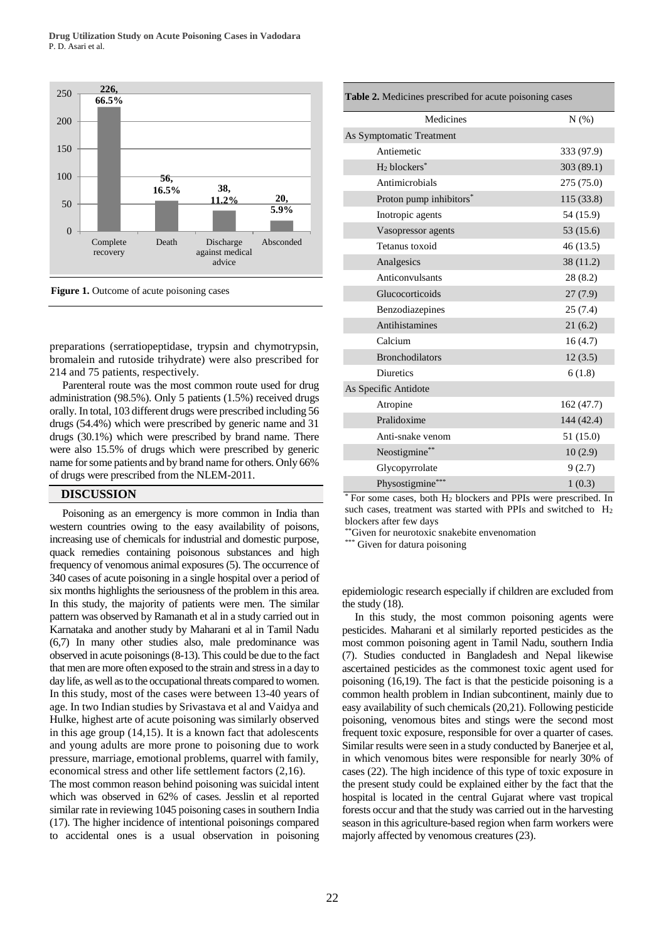

**Figure 1.** Outcome of acute poisoning cases

preparations (serratiopeptidase, trypsin and chymotrypsin, bromalein and rutoside trihydrate) were also prescribed for 214 and 75 patients, respectively.

Parenteral route was the most common route used for drug administration (98.5%). Only 5 patients (1.5%) received drugs orally. In total, 103 different drugs were prescribed including 56 drugs (54.4%) which were prescribed by generic name and 31 drugs (30.1%) which were prescribed by brand name. There were also 15.5% of drugs which were prescribed by generic name for some patients and by brand name for others. Only 66% of drugs were prescribed from the NLEM-2011.

## **DISCUSSION**

Poisoning as an emergency is more common in India than western countries owing to the easy availability of poisons, increasing use of chemicals for industrial and domestic purpose, quack remedies containing poisonous substances and high frequency of venomous animal exposures (5). The occurrence of 340 cases of acute poisoning in a single hospital over a period of six months highlights the seriousness of the problem in this area. In this study, the majority of patients were men. The similar pattern was observed by Ramanath et al in a study carried out in Karnataka and another study by Maharani et al in Tamil Nadu (6,7) In many other studies also, male predominance was observed in acute poisonings (8-13). This could be due to the fact that men are more often exposed to the strain and stress in a day to day life, as well as to the occupational threats compared to women. In this study, most of the cases were between 13-40 years of age. In two Indian studies by Srivastava et al and Vaidya and Hulke, highest arte of acute poisoning was similarly observed in this age group (14,15). It is a known fact that adolescents and young adults are more prone to poisoning due to work pressure, marriage, emotional problems, quarrel with family, economical stress and other life settlement factors (2,16).

The most common reason behind poisoning was suicidal intent which was observed in 62% of cases. Jesslin et al reported similar rate in reviewing 1045 poisoning cases in southern India (17). The higher incidence of intentional poisonings compared to accidental ones is a usual observation in poisoning

| Table 2. Medicines prescribed for acute poisoning cases |            |
|---------------------------------------------------------|------------|
| Medicines                                               | N(% )      |
| As Symptomatic Treatment                                |            |
| Antiemetic                                              | 333 (97.9) |
| $H_2$ blockers*                                         | 303(89.1)  |
| Antimicrobials                                          | 275 (75.0) |
| Proton pump inhibitors*                                 | 115(33.8)  |
| Inotropic agents                                        | 54 (15.9)  |
| Vasopressor agents                                      | 53 (15.6)  |
| Tetanus toxoid                                          | 46 (13.5)  |
| Analgesics                                              | 38 (11.2)  |
| Anticonvulsants                                         | 28(8.2)    |
| Glucocorticoids                                         | 27(7.9)    |
| Benzodiazepines                                         | 25(7.4)    |
| Antihistamines                                          | 21(6.2)    |
| Calcium                                                 | 16(4.7)    |
| <b>Bronchodilators</b>                                  | 12(3.5)    |
| <b>Diuretics</b>                                        | 6(1.8)     |
| As Specific Antidote                                    |            |
| Atropine                                                | 162 (47.7) |
| Pralidoxime                                             | 144 (42.4) |
| Anti-snake venom                                        | 51 (15.0)  |
| Neostigmine**                                           | 10(2.9)    |
| Glycopyrrolate                                          | 9(2.7)     |
| Physostigmine***                                        | 1(0.3)     |

For some cases, both H<sub>2</sub> blockers and PPIs were prescribed. In such cases, treatment was started with PPIs and switched to H<sup>2</sup> blockers after few days

\*\*Given for neurotoxic snakebite envenomation

\*\*\* Given for datura poisoning

epidemiologic research especially if children are excluded from the study (18).

In this study, the most common poisoning agents were pesticides. Maharani et al similarly reported pesticides as the most common poisoning agent in Tamil Nadu, southern India (7). Studies conducted in Bangladesh and Nepal likewise ascertained pesticides as the commonest toxic agent used for poisoning (16,19). The fact is that the pesticide poisoning is a common health problem in Indian subcontinent, mainly due to easy availability of such chemicals (20,21). Following pesticide poisoning, venomous bites and stings were the second most frequent toxic exposure, responsible for over a quarter of cases. Similar results were seen in a study conducted by Banerjee et al, in which venomous bites were responsible for nearly 30% of cases (22). The high incidence of this type of toxic exposure in the present study could be explained either by the fact that the hospital is located in the central Gujarat where vast tropical forests occur and that the study was carried out in the harvesting season in this agriculture-based region when farm workers were majorly affected by venomous creatures (23).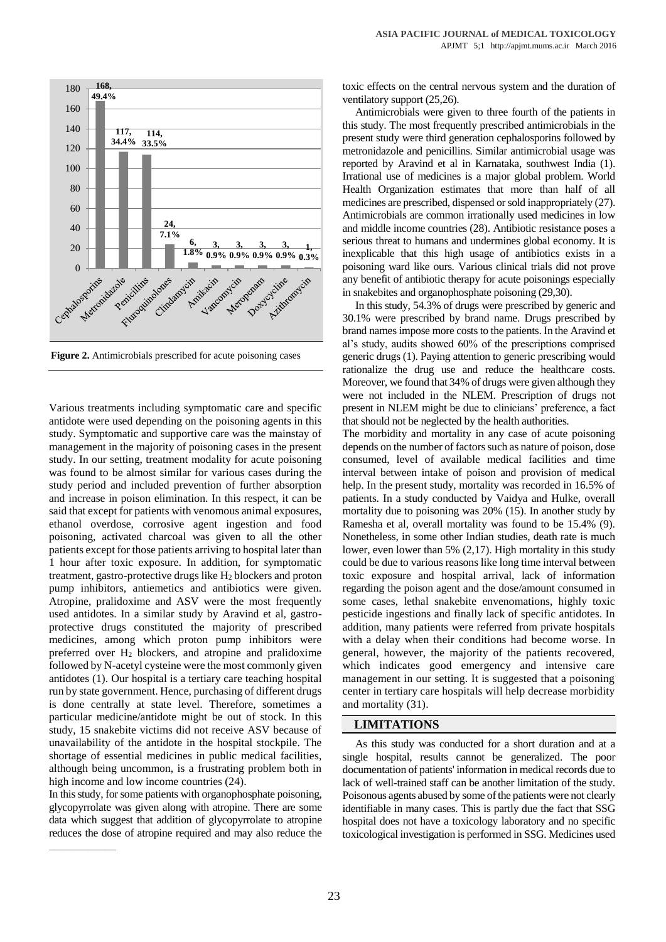

**Figure 2.** Antimicrobials prescribed for acute poisoning cases

Various treatments including symptomatic care and specific antidote were used depending on the poisoning agents in this study. Symptomatic and supportive care was the mainstay of management in the majority of poisoning cases in the present study. In our setting, treatment modality for acute poisoning was found to be almost similar for various cases during the study period and included prevention of further absorption and increase in poison elimination. In this respect, it can be said that except for patients with venomous animal exposures, ethanol overdose, corrosive agent ingestion and food poisoning, activated charcoal was given to all the other patients except for those patients arriving to hospital later than 1 hour after toxic exposure. In addition, for symptomatic treatment, gastro-protective drugs like H<sup>2</sup> blockers and proton pump inhibitors, antiemetics and antibiotics were given. Atropine, pralidoxime and ASV were the most frequently used antidotes. In a similar study by Aravind et al, gastroprotective drugs constituted the majority of prescribed medicines, among which proton pump inhibitors were preferred over  $H_2$  blockers, and atropine and pralidoxime followed by N-acetyl cysteine were the most commonly given antidotes (1). Our hospital is a tertiary care teaching hospital run by state government. Hence, purchasing of different drugs is done centrally at state level. Therefore, sometimes a particular medicine/antidote might be out of stock. In this study, 15 snakebite victims did not receive ASV because of unavailability of the antidote in the hospital stockpile. The shortage of essential medicines in public medical facilities, although being uncommon, is a frustrating problem both in high income and low income countries (24).

In this study, for some patients with organophosphate poisoning, glycopyrrolate was given along with atropine. There are some data which suggest that addition of glycopyrrolate to atropine reduces the dose of atropine required and may also reduce the toxic effects on the central nervous system and the duration of ventilatory support (25,26).

Antimicrobials were given to three fourth of the patients in this study. The most frequently prescribed antimicrobials in the present study were third generation cephalosporins followed by metronidazole and penicillins. Similar antimicrobial usage was reported by Aravind et al in Karnataka, southwest India (1). Irrational use of medicines is a major global problem. World Health Organization estimates that more than half of all medicines are prescribed, dispensed or sold inappropriately (27). Antimicrobials are common irrationally used medicines in low and middle income countries (28). Antibiotic resistance poses a serious threat to humans and undermines global economy. It is inexplicable that this high usage of antibiotics exists in a poisoning ward like ours. Various clinical trials did not prove any benefit of antibiotic therapy for acute poisonings especially in snakebites and organophosphate poisoning (29,30).

In this study, 54.3% of drugs were prescribed by generic and 30.1% were prescribed by brand name. Drugs prescribed by brand names impose more costs to the patients. In the Aravind et al's study, audits showed 60% of the prescriptions comprised generic drugs (1). Paying attention to generic prescribing would rationalize the drug use and reduce the healthcare costs. Moreover, we found that 34% of drugs were given although they were not included in the NLEM. Prescription of drugs not present in NLEM might be due to clinicians' preference, a fact that should not be neglected by the health authorities.

The morbidity and mortality in any case of acute poisoning depends on the number of factors such as nature of poison, dose consumed, level of available medical facilities and time interval between intake of poison and provision of medical help. In the present study, mortality was recorded in 16.5% of patients. In a study conducted by Vaidya and Hulke, overall mortality due to poisoning was 20% (15). In another study by Ramesha et al, overall mortality was found to be 15.4% (9). Nonetheless, in some other Indian studies, death rate is much lower, even lower than 5% (2,17). High mortality in this study could be due to various reasons like long time interval between toxic exposure and hospital arrival, lack of information regarding the poison agent and the dose/amount consumed in some cases, lethal snakebite envenomations, highly toxic pesticide ingestions and finally lack of specific antidotes. In addition, many patients were referred from private hospitals with a delay when their conditions had become worse. In general, however, the majority of the patients recovered, which indicates good emergency and intensive care management in our setting. It is suggested that a poisoning center in tertiary care hospitals will help decrease morbidity and mortality (31).

## **LIMITATIONS**

As this study was conducted for a short duration and at a single hospital, results cannot be generalized. The poor documentation of patients' information in medical records due to lack of well-trained staff can be another limitation of the study. Poisonous agents abused by some of the patients were not clearly identifiable in many cases. This is partly due the fact that SSG hospital does not have a toxicology laboratory and no specific toxicological investigation is performed in SSG. Medicines used